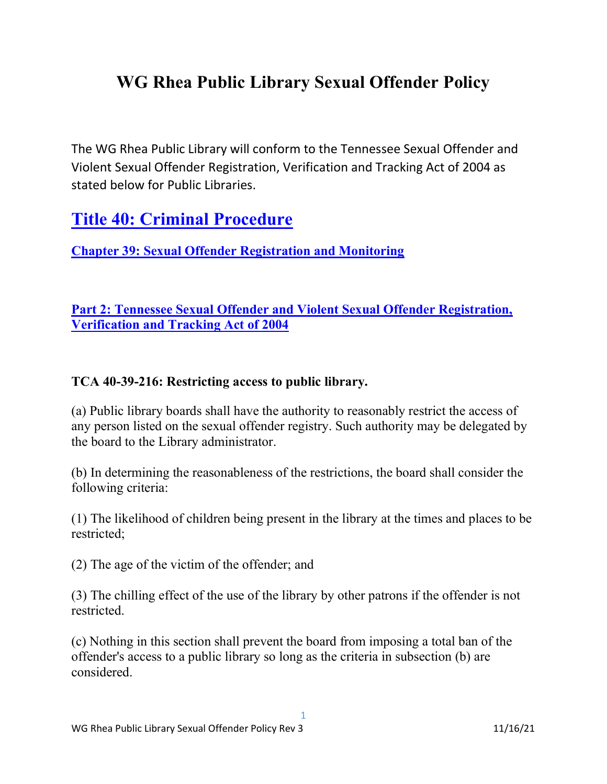## WG Rhea Public Library Sexual Offender Policy

The WG Rhea Public Library will conform to the Tennessee Sexual Offender and Violent Sexual Offender Registration, Verification and Tracking Act of 2004 as stated below for Public Libraries.

## Title 40: Criminal Procedure

Chapter 39: Sexual Offender Registration and Monitoring

Part 2: Tennessee Sexual Offender and Violent Sexual Offender Registration, Verification and Tracking Act of 2004

## TCA 40-39-216: Restricting access to public library.

(a) Public library boards shall have the authority to reasonably restrict the access of any person listed on the sexual offender registry. Such authority may be delegated by the board to the Library administrator.

(b) In determining the reasonableness of the restrictions, the board shall consider the following criteria:

(1) The likelihood of children being present in the library at the times and places to be restricted;

(2) The age of the victim of the offender; and

(3) The chilling effect of the use of the library by other patrons if the offender is not restricted.

(c) Nothing in this section shall prevent the board from imposing a total ban of the offender's access to a public library so long as the criteria in subsection (b) are considered.

1